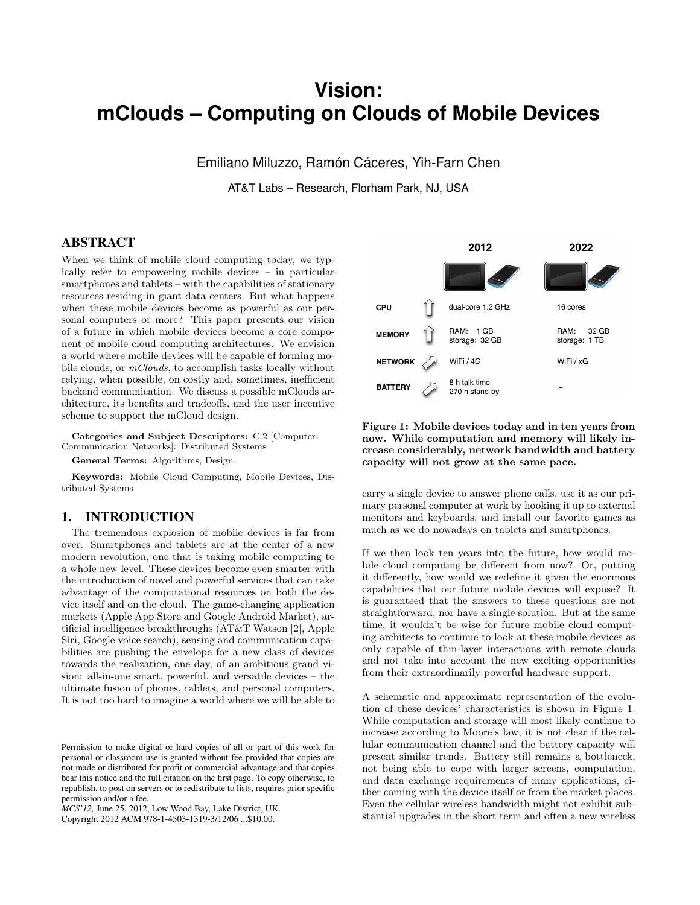# **Vision: mClouds – Computing on Clouds of Mobile Devices**

Emiliano Miluzzo, Ramón Cáceres, Yih-Farn Chen

AT&T Labs – Research, Florham Park, NJ, USA

## ABSTRACT

When we think of mobile cloud computing today, we typically refer to empowering mobile devices – in particular smartphones and tablets – with the capabilities of stationary resources residing in giant data centers. But what happens when these mobile devices become as powerful as our personal computers or more? This paper presents our vision of a future in which mobile devices become a core component of mobile cloud computing architectures. We envision a world where mobile devices will be capable of forming mobile clouds, or mClouds, to accomplish tasks locally without relying, when possible, on costly and, sometimes, inefficient backend communication. We discuss a possible mClouds architecture, its benefits and tradeoffs, and the user incentive scheme to support the mCloud design.

Categories and Subject Descriptors: C.2 [Computer-Communication Networks]: Distributed Systems

General Terms: Algorithms, Design

Keywords: Mobile Cloud Computing, Mobile Devices, Distributed Systems

### 1. INTRODUCTION

The tremendous explosion of mobile devices is far from over. Smartphones and tablets are at the center of a new modern revolution, one that is taking mobile computing to a whole new level. These devices become even smarter with the introduction of novel and powerful services that can take advantage of the computational resources on both the device itself and on the cloud. The game-changing application markets (Apple App Store and Google Android Market), artificial intelligence breakthroughs (AT&T Watson [2], Apple Siri, Google voice search), sensing and communication capabilities are pushing the envelope for a new class of devices towards the realization, one day, of an ambitious grand vision: all-in-one smart, powerful, and versatile devices – the ultimate fusion of phones, tablets, and personal computers. It is not too hard to imagine a world where we will be able to

*MCS'12,* June 25, 2012, Low Wood Bay, Lake District, UK.

Copyright 2012 ACM 978-1-4503-1319-3/12/06 ...\$10.00.



Figure 1: Mobile devices today and in ten years from now. While computation and memory will likely increase considerably, network bandwidth and battery capacity will not grow at the same pace.

carry a single device to answer phone calls, use it as our primary personal computer at work by hooking it up to external monitors and keyboards, and install our favorite games as much as we do nowadays on tablets and smartphones.

If we then look ten years into the future, how would mobile cloud computing be different from now? Or, putting it differently, how would we redefine it given the enormous capabilities that our future mobile devices will expose? It is guaranteed that the answers to these questions are not straightforward, nor have a single solution. But at the same time, it wouldn't be wise for future mobile cloud computing architects to continue to look at these mobile devices as only capable of thin-layer interactions with remote clouds and not take into account the new exciting opportunities from their extraordinarily powerful hardware support.

A schematic and approximate representation of the evolution of these devices' characteristics is shown in Figure 1. While computation and storage will most likely continue to increase according to Moore's law, it is not clear if the cellular communication channel and the battery capacity will present similar trends. Battery still remains a bottleneck, not being able to cope with larger screens, computation, and data exchange requirements of many applications, either coming with the device itself or from the market places. Even the cellular wireless bandwidth might not exhibit substantial upgrades in the short term and often a new wireless

Permission to make digital or hard copies of all or part of this work for personal or classroom use is granted without fee provided that copies are not made or distributed for profit or commercial advantage and that copies bear this notice and the full citation on the first page. To copy otherwise, to republish, to post on servers or to redistribute to lists, requires prior specific permission and/or a fee.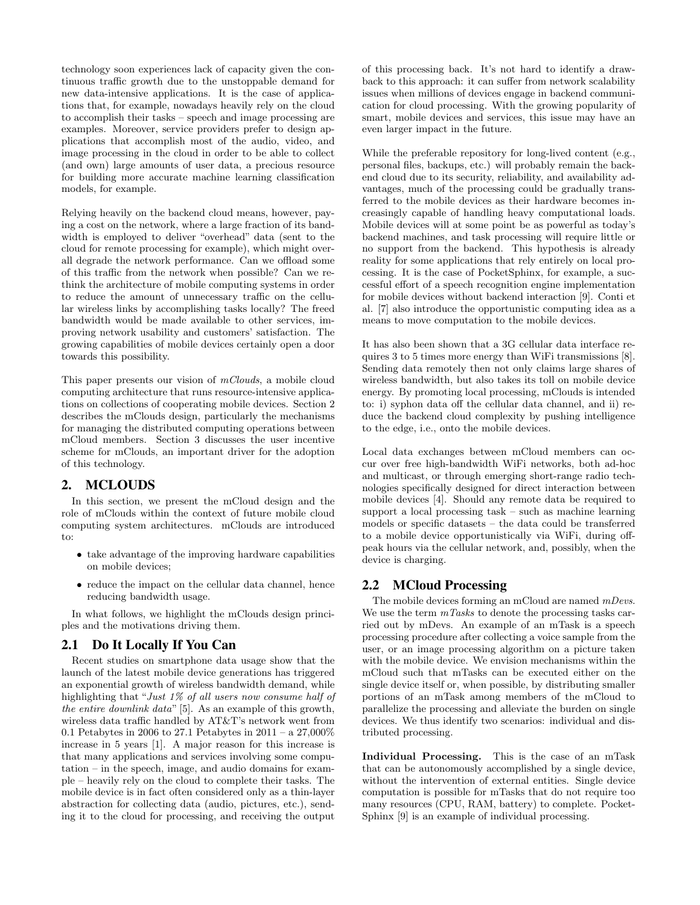technology soon experiences lack of capacity given the continuous traffic growth due to the unstoppable demand for new data-intensive applications. It is the case of applications that, for example, nowadays heavily rely on the cloud to accomplish their tasks – speech and image processing are examples. Moreover, service providers prefer to design applications that accomplish most of the audio, video, and image processing in the cloud in order to be able to collect (and own) large amounts of user data, a precious resource for building more accurate machine learning classification models, for example.

Relying heavily on the backend cloud means, however, paying a cost on the network, where a large fraction of its bandwidth is employed to deliver "overhead" data (sent to the cloud for remote processing for example), which might overall degrade the network performance. Can we offload some of this traffic from the network when possible? Can we rethink the architecture of mobile computing systems in order to reduce the amount of unnecessary traffic on the cellular wireless links by accomplishing tasks locally? The freed bandwidth would be made available to other services, improving network usability and customers' satisfaction. The growing capabilities of mobile devices certainly open a door towards this possibility.

This paper presents our vision of mClouds, a mobile cloud computing architecture that runs resource-intensive applications on collections of cooperating mobile devices. Section 2 describes the mClouds design, particularly the mechanisms for managing the distributed computing operations between mCloud members. Section 3 discusses the user incentive scheme for mClouds, an important driver for the adoption of this technology.

#### 2. MCLOUDS

In this section, we present the mCloud design and the role of mClouds within the context of future mobile cloud computing system architectures. mClouds are introduced to:

- take advantage of the improving hardware capabilities on mobile devices;
- reduce the impact on the cellular data channel, hence reducing bandwidth usage.

In what follows, we highlight the mClouds design principles and the motivations driving them.

#### 2.1 Do It Locally If You Can

Recent studies on smartphone data usage show that the launch of the latest mobile device generations has triggered an exponential growth of wireless bandwidth demand, while highlighting that "Just 1% of all users now consume half of the entire downlink data" [5]. As an example of this growth, wireless data traffic handled by AT&T's network went from 0.1 Petabytes in 2006 to 27.1 Petabytes in  $2011 - a$  27,000% increase in 5 years [1]. A major reason for this increase is that many applications and services involving some computation – in the speech, image, and audio domains for example – heavily rely on the cloud to complete their tasks. The mobile device is in fact often considered only as a thin-layer abstraction for collecting data (audio, pictures, etc.), sending it to the cloud for processing, and receiving the output

of this processing back. It's not hard to identify a drawback to this approach: it can suffer from network scalability issues when millions of devices engage in backend communication for cloud processing. With the growing popularity of smart, mobile devices and services, this issue may have an even larger impact in the future.

While the preferable repository for long-lived content (e.g., personal files, backups, etc.) will probably remain the backend cloud due to its security, reliability, and availability advantages, much of the processing could be gradually transferred to the mobile devices as their hardware becomes increasingly capable of handling heavy computational loads. Mobile devices will at some point be as powerful as today's backend machines, and task processing will require little or no support from the backend. This hypothesis is already reality for some applications that rely entirely on local processing. It is the case of PocketSphinx, for example, a successful effort of a speech recognition engine implementation for mobile devices without backend interaction [9]. Conti et al. [7] also introduce the opportunistic computing idea as a means to move computation to the mobile devices.

It has also been shown that a 3G cellular data interface requires 3 to 5 times more energy than WiFi transmissions [8]. Sending data remotely then not only claims large shares of wireless bandwidth, but also takes its toll on mobile device energy. By promoting local processing, mClouds is intended to: i) syphon data off the cellular data channel, and ii) reduce the backend cloud complexity by pushing intelligence to the edge, i.e., onto the mobile devices.

Local data exchanges between mCloud members can occur over free high-bandwidth WiFi networks, both ad-hoc and multicast, or through emerging short-range radio technologies specifically designed for direct interaction between mobile devices [4]. Should any remote data be required to support a local processing task – such as machine learning models or specific datasets – the data could be transferred to a mobile device opportunistically via WiFi, during offpeak hours via the cellular network, and, possibly, when the device is charging.

#### 2.2 MCloud Processing

The mobile devices forming an mCloud are named *mDevs*. We use the term  $mTasks$  to denote the processing tasks carried out by mDevs. An example of an mTask is a speech processing procedure after collecting a voice sample from the user, or an image processing algorithm on a picture taken with the mobile device. We envision mechanisms within the mCloud such that mTasks can be executed either on the single device itself or, when possible, by distributing smaller portions of an mTask among members of the mCloud to parallelize the processing and alleviate the burden on single devices. We thus identify two scenarios: individual and distributed processing.

Individual Processing. This is the case of an mTask that can be autonomously accomplished by a single device, without the intervention of external entities. Single device computation is possible for mTasks that do not require too many resources (CPU, RAM, battery) to complete. Pocket-Sphinx [9] is an example of individual processing.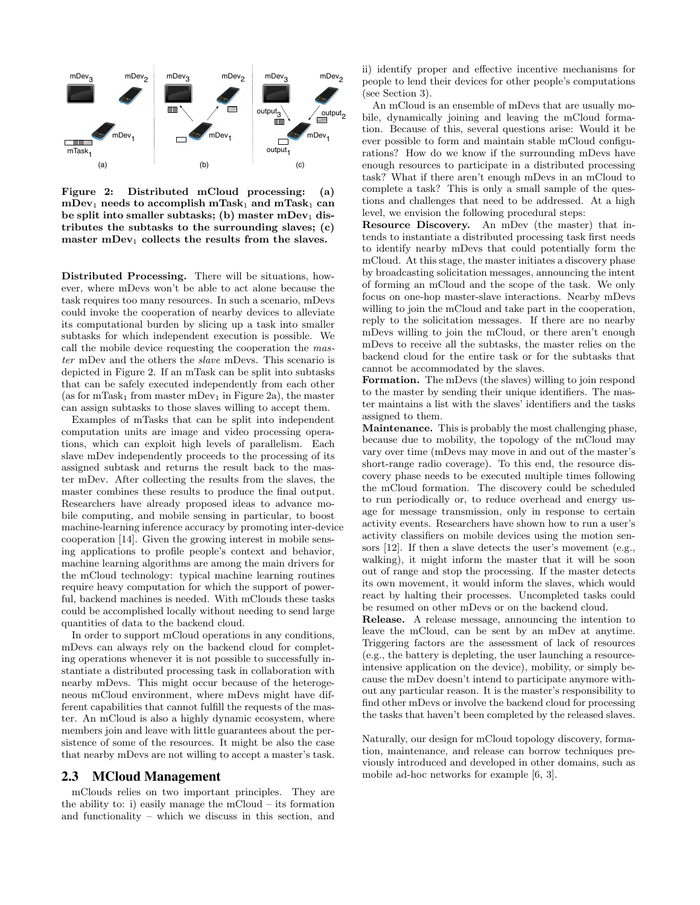

Figure 2: Distributed mCloud processing: (a)  $mDev<sub>1</sub> needs to accomplish mTask<sub>1</sub> and mTask<sub>1</sub> can$ be split into smaller subtasks; (b) master  $mDev_1$  distributes the subtasks to the surrounding slaves; (c) master  $mDev<sub>1</sub>$  collects the results from the slaves.

Distributed Processing. There will be situations, however, where mDevs won't be able to act alone because the task requires too many resources. In such a scenario, mDevs could invoke the cooperation of nearby devices to alleviate its computational burden by slicing up a task into smaller subtasks for which independent execution is possible. We call the mobile device requesting the cooperation the master mDev and the others the slave mDevs. This scenario is depicted in Figure 2. If an mTask can be split into subtasks that can be safely executed independently from each other (as for mTask<sub>1</sub> from master mDev<sub>1</sub> in Figure 2a), the master can assign subtasks to those slaves willing to accept them.

Examples of mTasks that can be split into independent computation units are image and video processing operations, which can exploit high levels of parallelism. Each slave mDev independently proceeds to the processing of its assigned subtask and returns the result back to the master mDev. After collecting the results from the slaves, the master combines these results to produce the final output. Researchers have already proposed ideas to advance mobile computing, and mobile sensing in particular, to boost machine-learning inference accuracy by promoting inter-device cooperation [14]. Given the growing interest in mobile sensing applications to profile people's context and behavior, machine learning algorithms are among the main drivers for the mCloud technology: typical machine learning routines require heavy computation for which the support of powerful, backend machines is needed. With mClouds these tasks could be accomplished locally without needing to send large quantities of data to the backend cloud.

In order to support mCloud operations in any conditions, mDevs can always rely on the backend cloud for completing operations whenever it is not possible to successfully instantiate a distributed processing task in collaboration with nearby mDevs. This might occur because of the heterogeneous mCloud environment, where mDevs might have different capabilities that cannot fulfill the requests of the master. An mCloud is also a highly dynamic ecosystem, where members join and leave with little guarantees about the persistence of some of the resources. It might be also the case that nearby mDevs are not willing to accept a master's task.

#### 2.3 MCloud Management

mClouds relies on two important principles. They are the ability to: i) easily manage the mCloud – its formation and functionality – which we discuss in this section, and ii) identify proper and effective incentive mechanisms for people to lend their devices for other people's computations (see Section 3).

An mCloud is an ensemble of mDevs that are usually mobile, dynamically joining and leaving the mCloud formation. Because of this, several questions arise: Would it be ever possible to form and maintain stable mCloud configurations? How do we know if the surrounding mDevs have enough resources to participate in a distributed processing task? What if there aren't enough mDevs in an mCloud to complete a task? This is only a small sample of the questions and challenges that need to be addressed. At a high level, we envision the following procedural steps:

Resource Discovery. An mDev (the master) that intends to instantiate a distributed processing task first needs to identify nearby mDevs that could potentially form the mCloud. At this stage, the master initiates a discovery phase by broadcasting solicitation messages, announcing the intent of forming an mCloud and the scope of the task. We only focus on one-hop master-slave interactions. Nearby mDevs willing to join the mCloud and take part in the cooperation, reply to the solicitation messages. If there are no nearby mDevs willing to join the mCloud, or there aren't enough mDevs to receive all the subtasks, the master relies on the backend cloud for the entire task or for the subtasks that cannot be accommodated by the slaves.

Formation. The mDevs (the slaves) willing to join respond to the master by sending their unique identifiers. The master maintains a list with the slaves' identifiers and the tasks assigned to them.

Maintenance. This is probably the most challenging phase, because due to mobility, the topology of the mCloud may vary over time (mDevs may move in and out of the master's short-range radio coverage). To this end, the resource discovery phase needs to be executed multiple times following the mCloud formation. The discovery could be scheduled to run periodically or, to reduce overhead and energy usage for message transmission, only in response to certain activity events. Researchers have shown how to run a user's activity classifiers on mobile devices using the motion sensors [12]. If then a slave detects the user's movement (e.g., walking), it might inform the master that it will be soon out of range and stop the processing. If the master detects its own movement, it would inform the slaves, which would react by halting their processes. Uncompleted tasks could be resumed on other mDevs or on the backend cloud.

Release. A release message, announcing the intention to leave the mCloud, can be sent by an mDev at anytime. Triggering factors are the assessment of lack of resources (e.g., the battery is depleting, the user launching a resourceintensive application on the device), mobility, or simply because the mDev doesn't intend to participate anymore without any particular reason. It is the master's responsibility to find other mDevs or involve the backend cloud for processing the tasks that haven't been completed by the released slaves.

Naturally, our design for mCloud topology discovery, formation, maintenance, and release can borrow techniques previously introduced and developed in other domains, such as mobile ad-hoc networks for example [6, 3].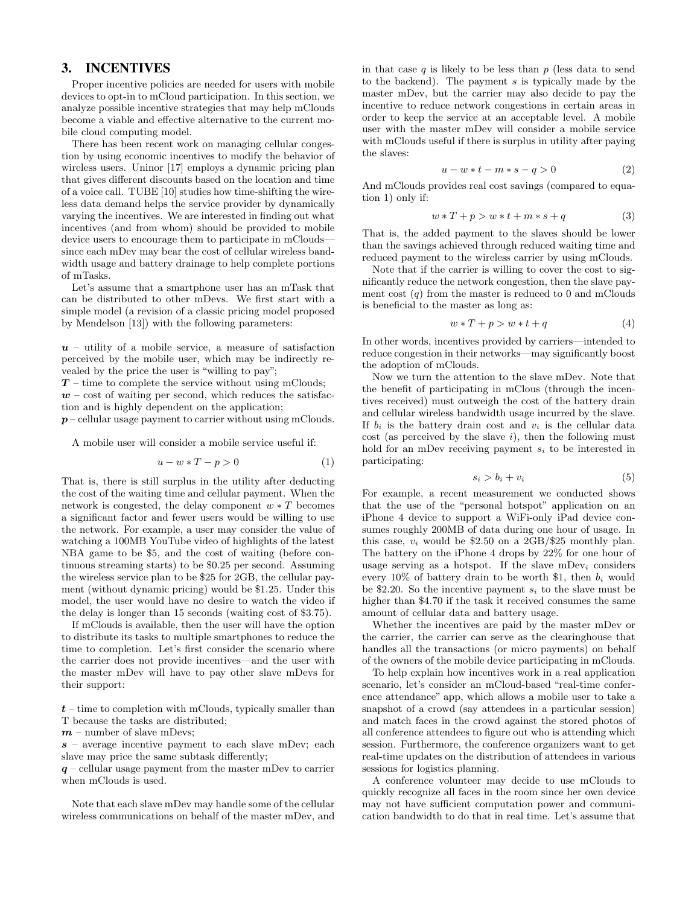#### 3. INCENTIVES

Proper incentive policies are needed for users with mobile devices to opt-in to mCloud participation. In this section, we analyze possible incentive strategies that may help mClouds become a viable and effective alternative to the current mobile cloud computing model.

There has been recent work on managing cellular congestion by using economic incentives to modify the behavior of wireless users. Uninor [17] employs a dynamic pricing plan that gives different discounts based on the location and time of a voice call. TUBE [10] studies how time-shifting the wireless data demand helps the service provider by dynamically varying the incentives. We are interested in finding out what incentives (and from whom) should be provided to mobile device users to encourage them to participate in mClouds since each mDev may bear the cost of cellular wireless bandwidth usage and battery drainage to help complete portions of mTasks.

Let's assume that a smartphone user has an mTask that can be distributed to other mDevs. We first start with a simple model (a revision of a classic pricing model proposed by Mendelson [13]) with the following parameters:

 $u$  – utility of a mobile service, a measure of satisfaction perceived by the mobile user, which may be indirectly revealed by the price the user is "willing to pay";

 $T$  – time to complete the service without using mClouds;  $w - \text{cost of waiting per second, which reduces the satisfactory$ tion and is highly dependent on the application;

 $p$  – cellular usage payment to carrier without using mClouds.

A mobile user will consider a mobile service useful if:

$$
u - w \ast T - p > 0 \tag{1}
$$

That is, there is still surplus in the utility after deducting the cost of the waiting time and cellular payment. When the network is congested, the delay component  $w * T$  becomes a significant factor and fewer users would be willing to use the network. For example, a user may consider the value of watching a 100MB YouTube video of highlights of the latest NBA game to be \$5, and the cost of waiting (before continuous streaming starts) to be \$0.25 per second. Assuming the wireless service plan to be \$25 for 2GB, the cellular payment (without dynamic pricing) would be \$1.25. Under this model, the user would have no desire to watch the video if the delay is longer than 15 seconds (waiting cost of \$3.75).

If mClouds is available, then the user will have the option to distribute its tasks to multiple smartphones to reduce the time to completion. Let's first consider the scenario where the carrier does not provide incentives—and the user with the master mDev will have to pay other slave mDevs for their support:

 $t$  – time to completion with mClouds, typically smaller than T because the tasks are distributed;

 $m$  – number of slave mDevs;

 $s$  – average incentive payment to each slave mDev; each slave may price the same subtask differently;

 $q$  – cellular usage payment from the master mDev to carrier when mClouds is used.

Note that each slave mDev may handle some of the cellular wireless communications on behalf of the master mDev, and in that case q is likely to be less than  $p$  (less data to send to the backend). The payment  $s$  is typically made by the master mDev, but the carrier may also decide to pay the incentive to reduce network congestions in certain areas in order to keep the service at an acceptable level. A mobile user with the master mDev will consider a mobile service with mClouds useful if there is surplus in utility after paying the slaves:

$$
u - w * t - m * s - q > 0 \tag{2}
$$

And mClouds provides real cost savings (compared to equation 1) only if:

$$
w \ast T + p > w \ast t + m \ast s + q \tag{3}
$$

That is, the added payment to the slaves should be lower than the savings achieved through reduced waiting time and reduced payment to the wireless carrier by using mClouds.

Note that if the carrier is willing to cover the cost to significantly reduce the network congestion, then the slave payment cost  $(q)$  from the master is reduced to 0 and mClouds is beneficial to the master as long as:

$$
w \ast T + p > w \ast t + q \tag{4}
$$

In other words, incentives provided by carriers—intended to reduce congestion in their networks—may significantly boost the adoption of mClouds.

Now we turn the attention to the slave mDev. Note that the benefit of participating in mClous (through the incentives received) must outweigh the cost of the battery drain and cellular wireless bandwidth usage incurred by the slave. If  $b_i$  is the battery drain cost and  $v_i$  is the cellular data cost (as perceived by the slave  $i$ ), then the following must hold for an mDev receiving payment  $s_i$  to be interested in participating:

$$
s_i > b_i + v_i \tag{5}
$$

For example, a recent measurement we conducted shows that the use of the "personal hotspot" application on an iPhone 4 device to support a WiFi-only iPad device consumes roughly 200MB of data during one hour of usage. In this case,  $v_i$  would be \$2.50 on a 2GB/\$25 monthly plan. The battery on the iPhone 4 drops by 22% for one hour of usage serving as a hotspot. If the slave  $mDev_i$  considers every 10% of battery drain to be worth \$1, then  $b_i$  would be \$2.20. So the incentive payment  $s_i$  to the slave must be higher than \$4.70 if the task it received consumes the same amount of cellular data and battery usage.

Whether the incentives are paid by the master mDev or the carrier, the carrier can serve as the clearinghouse that handles all the transactions (or micro payments) on behalf of the owners of the mobile device participating in mClouds.

To help explain how incentives work in a real application scenario, let's consider an mCloud-based "real-time conference attendance" app, which allows a mobile user to take a snapshot of a crowd (say attendees in a particular session) and match faces in the crowd against the stored photos of all conference attendees to figure out who is attending which session. Furthermore, the conference organizers want to get real-time updates on the distribution of attendees in various sessions for logistics planning.

A conference volunteer may decide to use mClouds to quickly recognize all faces in the room since her own device may not have sufficient computation power and communication bandwidth to do that in real time. Let's assume that